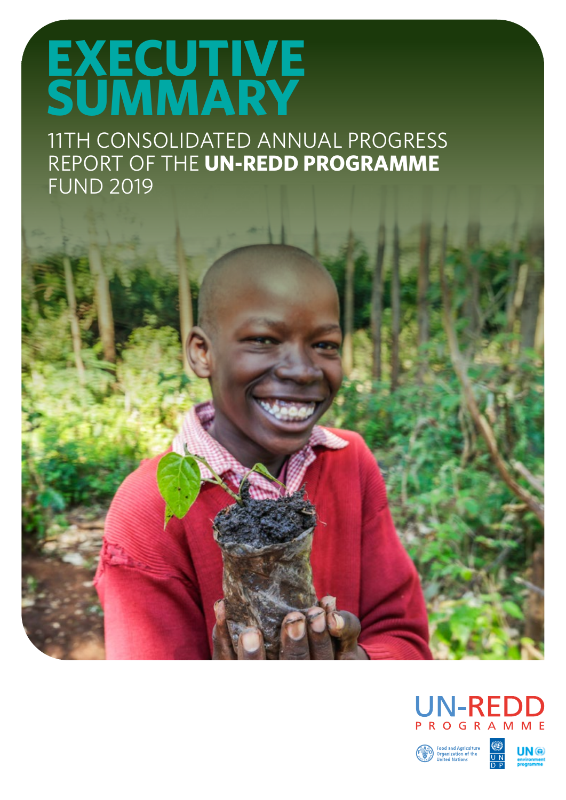## **EXECUTIVE SUMMARY**

11TH CONSOLIDATED ANNUAL PROGRESS REPORT OF THE **UN-REDD PROGRAMME** FUND 2019





Food and Agriculture<br>Organization of the<br>United Nations

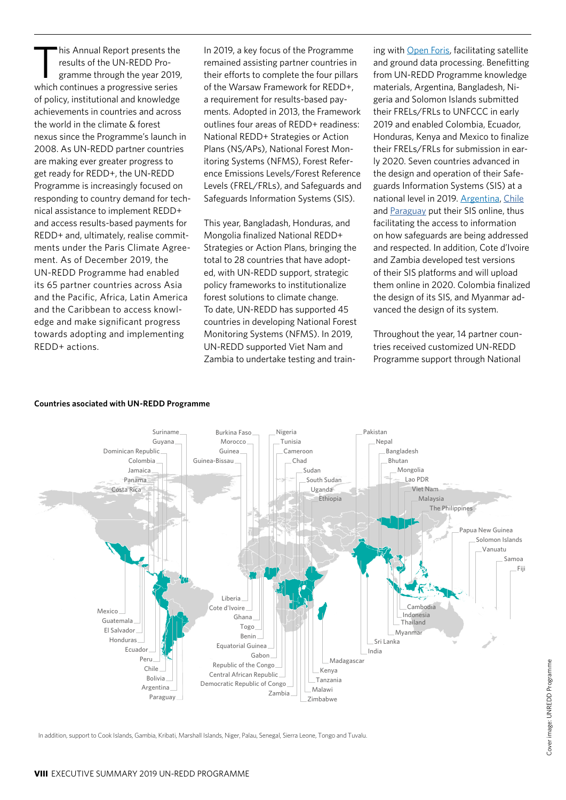his Annual Report presents the results of the UN-REDD Programme through the year 2019, which continues a progressive series of policy, institutional and knowledge achievements in countries and across the world in the climate & forest nexus since the Programme's launch in 2008. As UN-REDD partner countries are making ever greater progress to get ready for REDD+, the UN-REDD Programme is increasingly focused on responding to country demand for technical assistance to implement REDD+ and access results-based payments for REDD+ and, ultimately, realise commitments under the Paris Climate Agreement. As of December 2019, the UN-REDD Programme had enabled its 65 partner countries across Asia and the Pacific, Africa, Latin America and the Caribbean to access knowledge and make significant progress towards adopting and implementing REDD+ actions.

In 2019, a key focus of the Programme remained assisting partner countries in their efforts to complete the four pillars of the Warsaw Framework for REDD+, a requirement for results-based payments. Adopted in 2013, the Framework outlines four areas of REDD+ readiness: National REDD+ Strategies or Action Plans (NS/APs), National Forest Monitoring Systems (NFMS), Forest Reference Emissions Levels/Forest Reference Levels (FREL/FRLs), and Safeguards and Safeguards Information Systems (SIS).

This year, Bangladash, Honduras, and Mongolia finalized National REDD+ Strategies or Action Plans, bringing the total to 28 countries that have adopted, with UN-REDD support, strategic policy frameworks to institutionalize forest solutions to climate change. To date, UN-REDD has supported 45 countries in developing National Forest Monitoring Systems (NFMS). In 2019, UN-REDD supported Viet Nam and Zambia to undertake testing and train-

ing with Open Foris, facilitating satellite and ground data processing. Benefitting from UN-REDD Programme knowledge materials, Argentina, Bangladesh, Nigeria and Solomon Islands submitted their FRELs/FRLs to UNFCCC in early 2019 and enabled Colombia, Ecuador, Honduras, Kenya and Mexico to finalize their FRELs/FRLs for submission in early 2020. Seven countries advanced in the design and operation of their Safeguards Information Systems (SIS) at a national level in 2019. Argentina, [Chile](https://www.enccrv.cl/sis) and [Paraguay](http://dncc.mades.gov.py/sistema-de-informacion-de-salvaguardas) put their SIS online, thus facilitating the access to information on how safeguards are being addressed and respected. In addition, Cote d'Ivoire and Zambia developed test versions of their SIS platforms and will upload them online in 2020. Colombia finalized the design of its SIS, and Myanmar advanced the design of its system.

Throughout the year, 14 partner countries received customized UN-REDD Programme support through National



## **Countries asociated with UN-REDD Programme**

In addition, support to Cook Islands, Gambia, Kribati, Marshall Islands, Niger, Palau, Senegal, Sierra Leone, Tongo and Tuvalu.